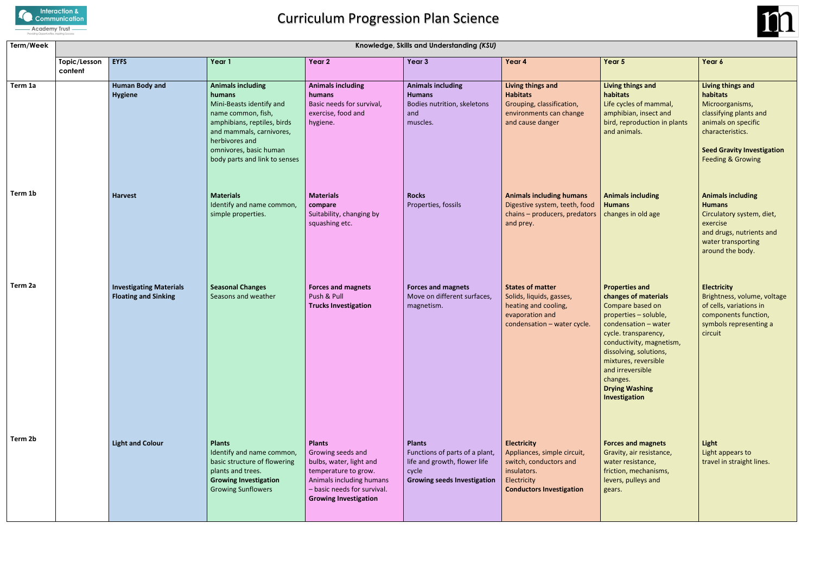

# Curriculum Progression Plan Science

## **Living things and tats**

### **Perties and changes of materials** pare based on perties – soluble, lensation – water e. transparency, ductivity, magnetism, olving, solutions, ures, reversible irreversible iges. **ng Washing Interation**

| Term/Week | Knowledge, Skills and Understanding (KSU) |                                                               |                                                                                                                                                                                                                              |                                                                                                                                                                                  |                                                                                                                                |                                                                                                                                              |                                                                                                                                                                                                                                                                                                    |                                                                                |  |  |
|-----------|-------------------------------------------|---------------------------------------------------------------|------------------------------------------------------------------------------------------------------------------------------------------------------------------------------------------------------------------------------|----------------------------------------------------------------------------------------------------------------------------------------------------------------------------------|--------------------------------------------------------------------------------------------------------------------------------|----------------------------------------------------------------------------------------------------------------------------------------------|----------------------------------------------------------------------------------------------------------------------------------------------------------------------------------------------------------------------------------------------------------------------------------------------------|--------------------------------------------------------------------------------|--|--|
|           | Topic/Lesson<br>content                   | <b>EYFS</b>                                                   | Year 1                                                                                                                                                                                                                       | Year 2                                                                                                                                                                           | Year 3                                                                                                                         | Year 4                                                                                                                                       | Year 5                                                                                                                                                                                                                                                                                             | Year 6                                                                         |  |  |
| Term 1a   |                                           | <b>Human Body and</b><br><b>Hygiene</b>                       | <b>Animals including</b><br>humans<br>Mini-Beasts identify and<br>name common, fish,<br>amphibians, reptiles, birds<br>and mammals, carnivores,<br>herbivores and<br>omnivores, basic human<br>body parts and link to senses | <b>Animals including</b><br>humans<br>Basic needs for survival,<br>exercise, food and<br>hygiene.                                                                                | <b>Animals including</b><br><b>Humans</b><br>Bodies nutrition, skeletons<br>and<br>muscles.                                    | Living things and<br><b>Habitats</b><br>Grouping, classification,<br>environments can change<br>and cause danger                             | Living things and<br>habitats<br>Life cycles of mammal,<br>amphibian, insect and<br>bird, reproduction in plants<br>and animals.                                                                                                                                                                   | Living<br>habita<br>Microd<br>classify<br>animal<br>charac<br>Seed G<br>Feedin |  |  |
| Term 1b   |                                           | <b>Harvest</b>                                                | <b>Materials</b><br>Identify and name common,<br>simple properties.                                                                                                                                                          | <b>Materials</b><br>compare<br>Suitability, changing by<br>squashing etc.                                                                                                        | <b>Rocks</b><br>Properties, fossils                                                                                            | <b>Animals including humans</b><br>Digestive system, teeth, food<br>chains - producers, predators<br>and prey.                               | <b>Animals including</b><br><b>Humans</b><br>changes in old age                                                                                                                                                                                                                                    | Anima<br>Humar<br>Circula<br>exercis<br>and dr<br>water<br>around              |  |  |
| Term 2a   |                                           | <b>Investigating Materials</b><br><b>Floating and Sinking</b> | <b>Seasonal Changes</b><br>Seasons and weather                                                                                                                                                                               | <b>Forces and magnets</b><br>Push & Pull<br><b>Trucks Investigation</b>                                                                                                          | <b>Forces and magnets</b><br>Move on different surfaces,<br>magnetism.                                                         | <b>States of matter</b><br>Solids, liquids, gasses,<br>heating and cooling,<br>evaporation and<br>condensation - water cycle.                | <b>Properties and</b><br>changes of materials<br>Compare based on<br>properties - soluble,<br>condensation - water<br>cycle. transparency,<br>conductivity, magnetism,<br>dissolving, solutions,<br>mixtures, reversible<br>and irreversible<br>changes.<br><b>Drying Washing</b><br>Investigation | Electri<br>Bright<br>of cells<br>compo<br>symbo<br>circuit                     |  |  |
| Term 2b   |                                           | <b>Light and Colour</b>                                       | <b>Plants</b><br>Identify and name common,<br>basic structure of flowering<br>plants and trees.<br><b>Growing Investigation</b><br><b>Growing Sunflowers</b>                                                                 | <b>Plants</b><br>Growing seeds and<br>bulbs, water, light and<br>temperature to grow.<br>Animals including humans<br>- basic needs for survival.<br><b>Growing Investigation</b> | <b>Plants</b><br>Functions of parts of a plant,<br>life and growth, flower life<br>cycle<br><b>Growing seeds Investigation</b> | <b>Electricity</b><br>Appliances, simple circuit,<br>switch, conductors and<br>insulators.<br>Electricity<br><b>Conductors Investigation</b> | <b>Forces and magnets</b><br>Gravity, air resistance,<br>water resistance,<br>friction, mechanisms,<br>levers, pulleys and<br>gears.                                                                                                                                                               | Light<br>Light a<br>travel                                                     |  |  |



## **Forces and magnets**

# **Living things and habitats**

Microorganisms, classifying plants and animals on specific characteristics.

**Seed Gravity Investigation** Feeding & Growing

#### **Animals including Humans**

Circulatory system, diet, exercise and drugs, nutrients and water transporting around the body.

#### **Electricity**

Brightness, volume, voltage of cells, variations in components function, symbols representing a circuit

**Light** Light appears to travel in straight lines.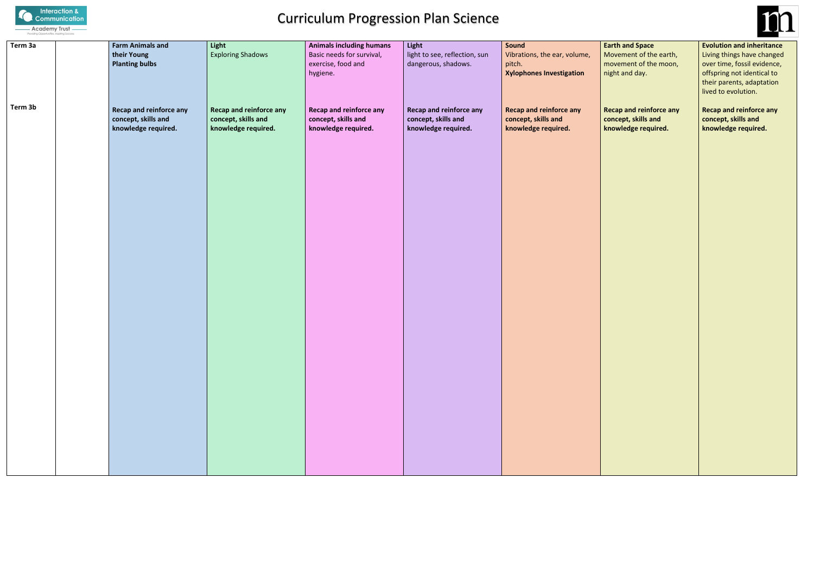

# Curriculum Progression Plan Science

| Term 3a | <b>Farm Animals and</b><br>their Young<br><b>Planting bulbs</b>              | Light<br><b>Exploring Shadows</b>                                            | <b>Animals including humans</b><br>Basic needs for survival,<br>exercise, food and<br>hygiene. | Light<br>light to see, reflection, sun<br>dangerous, shadows.                | Sound<br>Vibrations, the ear, volume,<br>pitch.<br><b>Xylophones Investigation</b> | Eart<br>Mo<br>mo<br>nigh |
|---------|------------------------------------------------------------------------------|------------------------------------------------------------------------------|------------------------------------------------------------------------------------------------|------------------------------------------------------------------------------|------------------------------------------------------------------------------------|--------------------------|
| Term 3b | <b>Recap and reinforce any</b><br>concept, skills and<br>knowledge required. | <b>Recap and reinforce any</b><br>concept, skills and<br>knowledge required. | <b>Recap and reinforce any</b><br>concept, skills and<br>knowledge required.                   | <b>Recap and reinforce any</b><br>concept, skills and<br>knowledge required. | <b>Recap and reinforce any</b><br>concept, skills and<br>knowledge required.       | Rec<br>con<br>kno        |
|         |                                                                              |                                                                              |                                                                                                |                                                                              |                                                                                    |                          |
|         |                                                                              |                                                                              |                                                                                                |                                                                              |                                                                                    |                          |
|         |                                                                              |                                                                              |                                                                                                |                                                                              |                                                                                    |                          |
|         |                                                                              |                                                                              |                                                                                                |                                                                              |                                                                                    |                          |
|         |                                                                              |                                                                              |                                                                                                |                                                                              |                                                                                    |                          |
|         |                                                                              |                                                                              |                                                                                                |                                                                              |                                                                                    |                          |



**Farth and Space** vement of the earth, vement of the moon, ht and day.

**Requal reinforce any ncept, skills and knowledge required.**

**Evolution and inheritance** Living things have changed over time, fossil evidence, offspring not identical to their parents, adaptation lived to evolution.

**Recap and reinforce any concept, skills and knowledge required.**